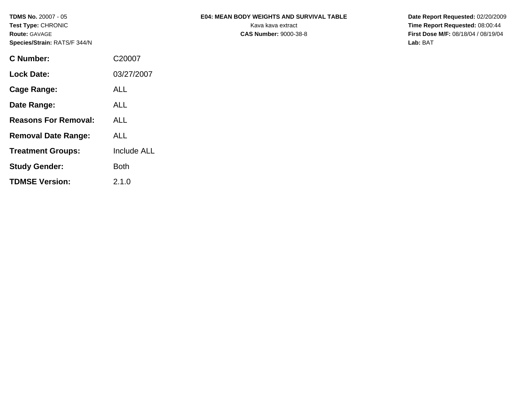| <b>TDMS No. 20007 - 05</b><br>Test Type: CHRONIC<br><b>Route: GAVAGE</b><br>Species/Strain: RATS/F 344/N |                    | <b>E04: MEAN BODY WEIGHTS AND SURVIVAL TABLE</b><br>Kava kava extract<br><b>CAS Number: 9000-38-8</b> | Date Report Requested: 02/20/2009<br>Time Report Requested: 08:00:44<br>First Dose M/F: 08/18/04 / 08/19/04<br>Lab: BAT |
|----------------------------------------------------------------------------------------------------------|--------------------|-------------------------------------------------------------------------------------------------------|-------------------------------------------------------------------------------------------------------------------------|
| <b>C</b> Number:                                                                                         | C20007             |                                                                                                       |                                                                                                                         |
| <b>Lock Date:</b>                                                                                        | 03/27/2007         |                                                                                                       |                                                                                                                         |
| <b>Cage Range:</b>                                                                                       | <b>ALL</b>         |                                                                                                       |                                                                                                                         |
| Date Range:                                                                                              | <b>ALL</b>         |                                                                                                       |                                                                                                                         |
| <b>Reasons For Removal:</b>                                                                              | <b>ALL</b>         |                                                                                                       |                                                                                                                         |
| <b>Removal Date Range:</b>                                                                               | <b>ALL</b>         |                                                                                                       |                                                                                                                         |
| <b>Treatment Groups:</b>                                                                                 | <b>Include ALL</b> |                                                                                                       |                                                                                                                         |

**Study Gender:** Both

**TDMSE Version:** 2.1.0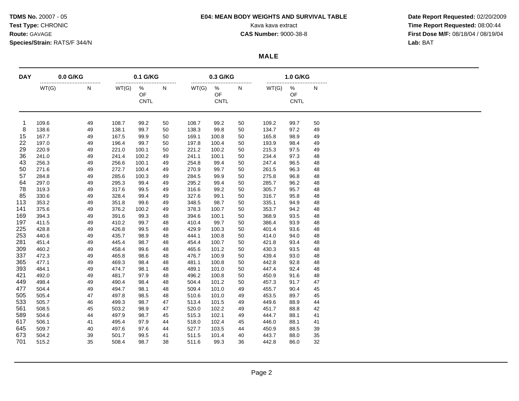### **TDMS No.** 20007 - 05 **E04: MEAN BODY WEIGHTS AND SURVIVAL TABLE Date Report Requested:** 02/20/2009

**Test Type:** CHRONIC **Transfer CHRONIC** Kava **Report Requested:** 08:00:44 **Route:** GAVAGE **CAS Number:** 9000-38-8 **First Dose M/F:** 08/18/04 / 08/19/04

 $\overline{\phantom{0}}$ 

### **MALE**

| <b>DAY</b> | 0.0 G/KG |       | 0.1 G/KG |                        |    |       | 0.3 G/KG               |    |       | 1.0 G/KG                      |    |
|------------|----------|-------|----------|------------------------|----|-------|------------------------|----|-------|-------------------------------|----|
|            | WT(G)    | <br>N | WT(G)    | %<br>OF<br><b>CNTL</b> | N  | WT(G) | %<br>OF<br><b>CNTL</b> | N  | WT(G) | %<br><b>OF</b><br><b>CNTL</b> | N  |
|            | 109.6    | 49    | 108.7    | 99.2                   | 50 | 108.7 | 99.2                   | 50 | 109.2 | 99.7                          | 50 |
| 8          | 138.6    | 49    | 138.1    | 99.7                   | 50 | 138.3 | 99.8                   | 50 | 134.7 | 97.2                          | 49 |
| 15         | 167.7    | 49    | 167.5    | 99.9                   | 50 | 169.1 | 100.8                  | 50 | 165.8 | 98.9                          | 49 |
| 22         | 197.0    | 49    | 196.4    | 99.7                   | 50 | 197.8 | 100.4                  | 50 | 193.9 | 98.4                          | 49 |
| 29         | 220.9    | 49    | 221.0    | 100.1                  | 50 | 221.2 | 100.2                  | 50 | 215.3 | 97.5                          | 49 |
| 36         | 241.0    | 49    | 241.4    | 100.2                  | 49 | 241.1 | 100.1                  | 50 | 234.4 | 97.3                          | 48 |
| 43         | 256.3    | 49    | 256.6    | 100.1                  | 49 | 254.8 | 99.4                   | 50 | 247.4 | 96.5                          | 48 |
| 50         | 271.6    | 49    | 272.7    | 100.4                  | 49 | 270.9 | 99.7                   | 50 | 261.5 | 96.3                          | 48 |
| 57         | 284.8    | 49    | 285.6    | 100.3                  | 49 | 284.5 | 99.9                   | 50 | 275.8 | 96.8                          | 48 |
| 64         | 297.0    | 49    | 295.3    | 99.4                   | 49 | 295.2 | 99.4                   | 50 | 285.7 | 96.2                          | 48 |
| 78         | 319.3    | 49    | 317.6    | 99.5                   | 49 | 316.6 | 99.2                   | 50 | 305.7 | 95.7                          | 48 |
| 85         | 330.6    | 49    | 328.4    | 99.4                   | 49 | 327.6 | 99.1                   | 50 | 316.7 | 95.8                          | 48 |
| 113        | 353.2    | 49    | 351.8    | 99.6                   | 49 | 348.5 | 98.7                   | 50 | 335.1 | 94.9                          | 48 |
| 141        | 375.6    | 49    | 376.2    | 100.2                  | 49 | 378.3 | 100.7                  | 50 | 353.7 | 94.2                          | 48 |
| 169        | 394.3    | 49    | 391.6    | 99.3                   | 48 | 394.6 | 100.1                  | 50 | 368.9 | 93.5                          | 48 |
| 197        | 411.5    | 49    | 410.2    | 99.7                   | 48 | 410.4 | 99.7                   | 50 | 386.4 | 93.9                          | 48 |
| 225        | 428.8    | 49    | 426.8    | 99.5                   | 48 | 429.9 | 100.3                  | 50 | 401.4 | 93.6                          | 48 |
| 253        | 440.6    | 49    | 435.7    | 98.9                   | 48 | 444.1 | 100.8                  | 50 | 414.0 | 94.0                          | 48 |
| 281        | 451.4    | 49    | 445.4    | 98.7                   | 48 | 454.4 | 100.7                  | 50 | 421.8 | 93.4                          | 48 |
| 309        | 460.2    | 49    | 458.4    | 99.6                   | 48 | 465.6 | 101.2                  | 50 | 430.3 | 93.5                          | 48 |
| 337        | 472.3    | 49    | 465.8    | 98.6                   | 48 | 476.7 | 100.9                  | 50 | 439.4 | 93.0                          | 48 |
| 365        | 477.1    | 49    | 469.3    | 98.4                   | 48 | 481.1 | 100.8                  | 50 | 442.8 | 92.8                          | 48 |
| 393        | 484.1    | 49    | 474.7    | 98.1                   | 48 | 489.1 | 101.0                  | 50 | 447.4 | 92.4                          | 48 |
| 421        | 492.0    | 49    | 481.7    | 97.9                   | 48 | 496.2 | 100.8                  | 50 | 450.9 | 91.6                          | 48 |
| 449        | 498.4    | 49    | 490.4    | 98.4                   | 48 | 504.4 | 101.2                  | 50 | 457.3 | 91.7                          | 47 |
| 477        | 504.4    | 49    | 494.7    | 98.1                   | 48 | 509.4 | 101.0                  | 49 | 455.7 | 90.4                          | 45 |
| 505        | 505.4    | 47    | 497.8    | 98.5                   | 48 | 510.6 | 101.0                  | 49 | 453.5 | 89.7                          | 45 |
| 533        | 505.7    | 46    | 499.3    | 98.7                   | 47 | 513.4 | 101.5                  | 49 | 449.6 | 88.9                          | 44 |
| 561        | 508.5    | 45    | 503.2    | 98.9                   | 47 | 520.0 | 102.2                  | 49 | 451.7 | 88.8                          | 42 |
| 589        | 504.6    | 44    | 497.9    | 98.7                   | 45 | 515.3 | 102.1                  | 49 | 444.7 | 88.1                          | 41 |
| 617        | 506.1    | 41    | 495.4    | 97.9                   | 44 | 518.0 | 102.4                  | 45 | 446.0 | 88.1                          | 41 |
| 645        | 509.7    | 40    | 497.6    | 97.6                   | 44 | 527.7 | 103.5                  | 44 | 450.9 | 88.5                          | 39 |
| 673        | 504.2    | 39    | 501.7    | 99.5                   | 41 | 511.5 | 101.4                  | 40 | 443.7 | 88.0                          | 35 |
| 701        | 515.2    | 35    | 508.4    | 98.7                   | 38 | 511.6 | 99.3                   | 36 | 442.8 | 86.0                          | 32 |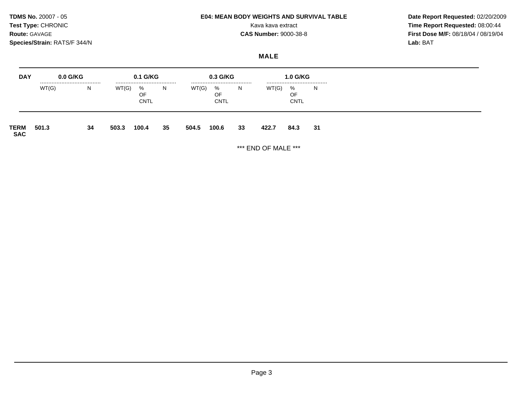### **TDMS No.** 20007 - 05 **E04: MEAN BODY WEIGHTS AND SURVIVAL TABLE Date Report Requested:** 02/20/2009

**Test Type:** CHRONIC **Transfer CHRONIC** Kava **Report Requested:** 08:00:44 **Route:** GAVAGE **CAS Number:** 9000-38-8 **First Dose M/F:** 08/18/04 / 08/19/04

## **MALE**

| <b>DAY</b>         | $0.0$ G/KG |    |       | 0.1 G/KG               |    |       | 0.3 G/KG                   |    |       | <b>1.0 G/KG</b>            |    |
|--------------------|------------|----|-------|------------------------|----|-------|----------------------------|----|-------|----------------------------|----|
|                    | WT(G)      | N  | WT(G) | %<br>OF<br><b>CNTL</b> | N. | WT(G) | <br>%<br>OF<br><b>CNTL</b> | N  | WT(G) | <br>%<br>OF<br><b>CNTL</b> | N  |
| TERM<br><b>SAC</b> | 501.3      | 34 | 503.3 | 100.4                  | 35 | 504.5 | 100.6                      | 33 | 422.7 | 84.3                       | 31 |

\*\*\* END OF MALE \*\*\*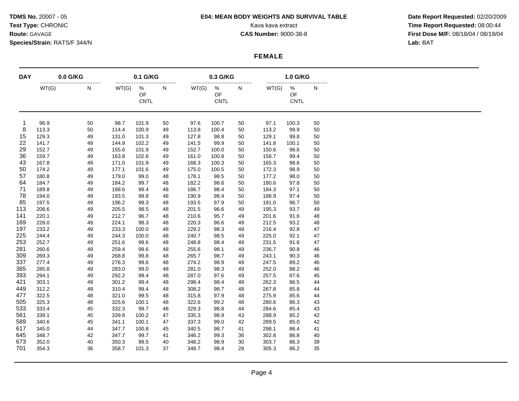### **TDMS No.** 20007 - 05 **E04: MEAN BODY WEIGHTS AND SURVIVAL TABLE Date Report Requested:** 02/20/2009

**Test Type:** CHRONIC **Transfer CHRONIC** Kava **Report Requested:** 08:00:44 **Route:** GAVAGE **CAS Number:** 9000-38-8 **First Dose M/F:** 08/18/04 / 08/19/04

### **FEMALE**

| <b>DAY</b> | 0.0 G/KG |       |           | 0.1 G/KG               |       |       | 0.3 G/KG<br>              |    |       | 1.0 G/KG<br>              |    |  |  |
|------------|----------|-------|-----------|------------------------|-------|-------|---------------------------|----|-------|---------------------------|----|--|--|
|            | WT(G)    | <br>Ν | <br>WT(G) | %<br>OF<br><b>CNTL</b> | <br>N | WT(G) | $\%$<br>OF<br><b>CNTL</b> | N  | WT(G) | $\%$<br>OF<br><b>CNTL</b> | N  |  |  |
| -1         | 96.9     | 50    | 98.7      | 101.9                  | 50    | 97.6  | 100.7                     | 50 | 97.1  | 100.3                     | 50 |  |  |
| 8          | 113.3    | 50    | 114.4     | 100.9                  | 49    | 113.8 | 100.4                     | 50 | 113.2 | 99.9                      | 50 |  |  |
| 15         | 129.3    | 49    | 131.0     | 101.3                  | 49    | 127.8 | 98.8                      | 50 | 129.1 | 99.8                      | 50 |  |  |
| 22         | 141.7    | 49    | 144.9     | 102.2                  | 49    | 141.5 | 99.9                      | 50 | 141.8 | 100.1                     | 50 |  |  |
| 29         | 152.7    | 49    | 155.6     | 101.9                  | 49    | 152.7 | 100.0                     | 50 | 150.6 | 98.6                      | 50 |  |  |
| 36         | 159.7    | 49    | 163.8     | 102.6                  | 49    | 161.0 | 100.8                     | 50 | 158.7 | 99.4                      | 50 |  |  |
| 43         | 167.8    | 49    | 171.0     | 101.9                  | 49    | 168.3 | 100.3                     | 50 | 165.3 | 98.6                      | 50 |  |  |
| 50         | 174.2    | 49    | 177.1     | 101.6                  | 49    | 175.0 | 100.5                     | 50 | 172.3 | 98.9                      | 50 |  |  |
| 57         | 180.8    | 49    | 179.0     | 99.0                   | 48    | 178.1 | 98.5                      | 50 | 177.2 | 98.0                      | 50 |  |  |
| 64         | 184.7    | 49    | 184.2     | 99.7                   | 48    | 182.2 | 98.6                      | 50 | 180.6 | 97.8                      | 50 |  |  |
| 71         | 189.8    | 49    | 188.6     | 99.4                   | 48    | 186.7 | 98.4                      | 50 | 184.3 | 97.1                      | 50 |  |  |
| 78         | 194.0    | 49    | 193.5     | 99.8                   | 48    | 190.9 | 98.4                      | 50 | 188.9 | 97.4                      | 50 |  |  |
| 85         | 197.5    | 49    | 196.2     | 99.3                   | 48    | 193.5 | 97.9                      | 50 | 191.0 | 96.7                      | 50 |  |  |
| 113        | 208.6    | 49    | 205.5     | 98.5                   | 48    | 201.5 | 96.6                      | 49 | 195.3 | 93.7                      | 49 |  |  |
| 141        | 220.1    | 49    | 212.7     | 96.7                   | 48    | 210.6 | 95.7                      | 49 | 201.6 | 91.6                      | 48 |  |  |
| 169        | 228.0    | 49    | 224.1     | 98.3                   | 48    | 220.3 | 96.6                      | 49 | 212.5 | 93.2                      | 48 |  |  |
| 197        | 233.2    | 49    | 233.3     | 100.0                  | 48    | 229.2 | 98.3                      | 49 | 216.4 | 92.8                      | 47 |  |  |
| 225        | 244.4    | 49    | 244.3     | 100.0                  | 48    | 240.7 | 98.5                      | 49 | 225.0 | 92.1                      | 47 |  |  |
| 253        | 252.7    | 49    | 251.6     | 99.6                   | 48    | 248.8 | 98.4                      | 49 | 231.5 | 91.6                      | 47 |  |  |
| 281        | 260.6    | 49    | 259.4     | 99.6                   | 48    | 255.6 | 98.1                      | 49 | 236.7 | 90.8                      | 46 |  |  |
| 309        | 269.3    | 49    | 268.8     | 99.8                   | 48    | 265.7 | 98.7                      | 49 | 243.1 | 90.3                      | 46 |  |  |
| 337        | 277.4    | 49    | 276.3     | 99.6                   | 48    | 274.2 | 98.9                      | 49 | 247.5 | 89.2                      | 46 |  |  |
| 365        | 285.8    | 49    | 283.0     | 99.0                   | 48    | 281.0 | 98.3                      | 49 | 252.0 | 88.2                      | 46 |  |  |
| 393        | 294.1    | 49    | 292.2     | 99.4                   | 48    | 287.0 | 97.6                      | 49 | 257.5 | 87.6                      | 45 |  |  |
| 421        | 303.1    | 49    | 301.2     | 99.4                   | 48    | 298.4 | 98.4                      | 49 | 262.3 | 86.5                      | 44 |  |  |
| 449        | 312.2    | 49    | 310.4     | 99.4                   | 48    | 308.2 | 98.7                      | 48 | 267.8 | 85.8                      | 44 |  |  |
| 477        | 322.5    | 48    | 321.0     | 99.5                   | 48    | 315.8 | 97.9                      | 48 | 275.9 | 85.6                      | 44 |  |  |
| 505        | 325.3    | 48    | 325.6     | 100.1                  | 48    | 322.6 | 99.2                      | 48 | 280.6 | 86.3                      | 43 |  |  |
| 533        | 333.4    | 45    | 332.3     | 99.7                   | 48    | 329.3 | 98.8                      | 44 | 284.6 | 85.4                      | 43 |  |  |
| 561        | 339.1    | 45    | 339.8     | 100.2                  | 47    | 335.3 | 98.9                      | 43 | 288.9 | 85.2                      | 42 |  |  |
| 589        | 340.6    | 45    | 341.1     | 100.1                  | 47    | 337.3 | 99.0                      | 42 | 289.5 | 85.0                      | 42 |  |  |
| 617        | 345.0    | 44    | 347.7     | 100.8                  | 45    | 340.5 | 98.7                      | 41 | 298.1 | 86.4                      | 41 |  |  |
| 645        | 348.7    | 42    | 347.7     | 99.7                   | 41    | 346.2 | 99.3                      | 36 | 302.8 | 86.8                      | 40 |  |  |
| 673        | 352.0    | 40    | 350.3     | 99.5                   | 40    | 348.2 | 98.9                      | 30 | 303.7 | 86.3                      | 39 |  |  |
| 701        | 354.3    | 36    | 358.7     | 101.3                  | 37    | 348.7 | 98.4                      | 28 | 305.3 | 86.2                      | 35 |  |  |